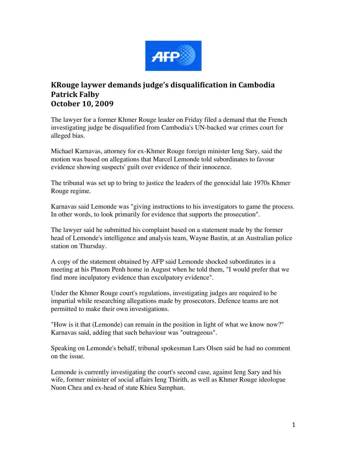

## **KRouge laywer demands judge's disqualification in Cambodia Patrick Falby October 10, 2009**

The lawyer for a former Khmer Rouge leader on Friday filed a demand that the French investigating judge be disqualified from Cambodia's UN-backed war crimes court for alleged bias.

Michael Karnavas, attorney for ex-Khmer Rouge foreign minister Ieng Sary, said the motion was based on allegations that Marcel Lemonde told subordinates to favour evidence showing suspects' guilt over evidence of their innocence.

The tribunal was set up to bring to justice the leaders of the genocidal late 1970s Khmer Rouge regime.

Karnavas said Lemonde was "giving instructions to his investigators to game the process. In other words, to look primarily for evidence that supports the prosecution".

The lawyer said he submitted his complaint based on a statement made by the former head of Lemonde's intelligence and analysis team, Wayne Bastin, at an Australian police station on Thursday.

A copy of the statement obtained by AFP said Lemonde shocked subordinates in a meeting at his Phnom Penh home in August when he told them, "I would prefer that we find more inculpatory evidence than exculpatory evidence".

Under the Khmer Rouge court's regulations, investigating judges are required to be impartial while researching allegations made by prosecutors. Defence teams are not permitted to make their own investigations.

"How is it that (Lemonde) can remain in the position in light of what we know now?" Karnavas said, adding that such behaviour was "outrageous".

Speaking on Lemonde's behalf, tribunal spokesman Lars Olsen said he had no comment on the issue.

Lemonde is currently investigating the court's second case, against Ieng Sary and his wife, former minister of social affairs Ieng Thirith, as well as Khmer Rouge ideologue Nuon Chea and ex-head of state Khieu Samphan.